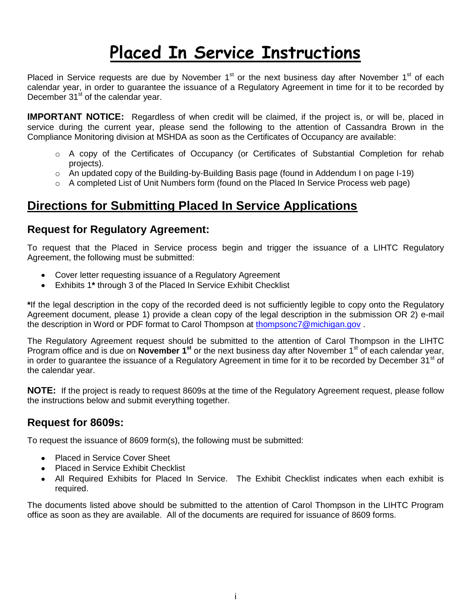# **Placed In Service Instructions**

Placed in Service requests are due by November  $1<sup>st</sup>$  or the next business day after November  $1<sup>st</sup>$  of each calendar year, in order to guarantee the issuance of a Regulatory Agreement in time for it to be recorded by December 31<sup>st</sup> of the calendar year.

**IMPORTANT NOTICE:** Regardless of when credit will be claimed, if the project is, or will be, placed in service during the current year, please send the following to the attention of Cassandra Brown in the Compliance Monitoring division at MSHDA as soon as the Certificates of Occupancy are available:

- o A copy of the Certificates of Occupancy (or Certificates of Substantial Completion for rehab projects).
- $\circ$  An updated copy of the Building-by-Building Basis page (found in Addendum I on page I-19)
- o A completed List of Unit Numbers form (found on the Placed In Service Process web page)

# **Directions for Submitting Placed In Service Applications**

### **Request for Regulatory Agreement:**

To request that the Placed in Service process begin and trigger the issuance of a LIHTC Regulatory Agreement, the following must be submitted:

- Cover letter requesting issuance of a Regulatory Agreement
- Exhibits 1**\*** through 3 of the Placed In Service Exhibit Checklist

**\***If the legal description in the copy of the recorded deed is not sufficiently legible to copy onto the Regulatory Agreement document, please 1) provide a clean copy of the legal description in the submission OR 2) e-mail the description in Word or PDF format to Carol Thompson at [thompsonc7@michigan.gov](mailto:thompsonc7@michigan.gov).

The Regulatory Agreement request should be submitted to the attention of Carol Thompson in the LIHTC Program office and is due on **November 1<sup>st</sup>** or the next business day after November 1<sup>st</sup> of each calendar year, in order to guarantee the issuance of a Regulatory Agreement in time for it to be recorded by December 31<sup>st</sup> of the calendar year.

**NOTE:** If the project is ready to request 8609s at the time of the Regulatory Agreement request, please follow the instructions below and submit everything together.

### **Request for 8609s:**

To request the issuance of 8609 form(s), the following must be submitted:

- Placed in Service Cover Sheet
- Placed in Service Exhibit Checklist
- All Required Exhibits for Placed In Service. The Exhibit Checklist indicates when each exhibit is required.

The documents listed above should be submitted to the attention of Carol Thompson in the LIHTC Program office as soon as they are available. All of the documents are required for issuance of 8609 forms.